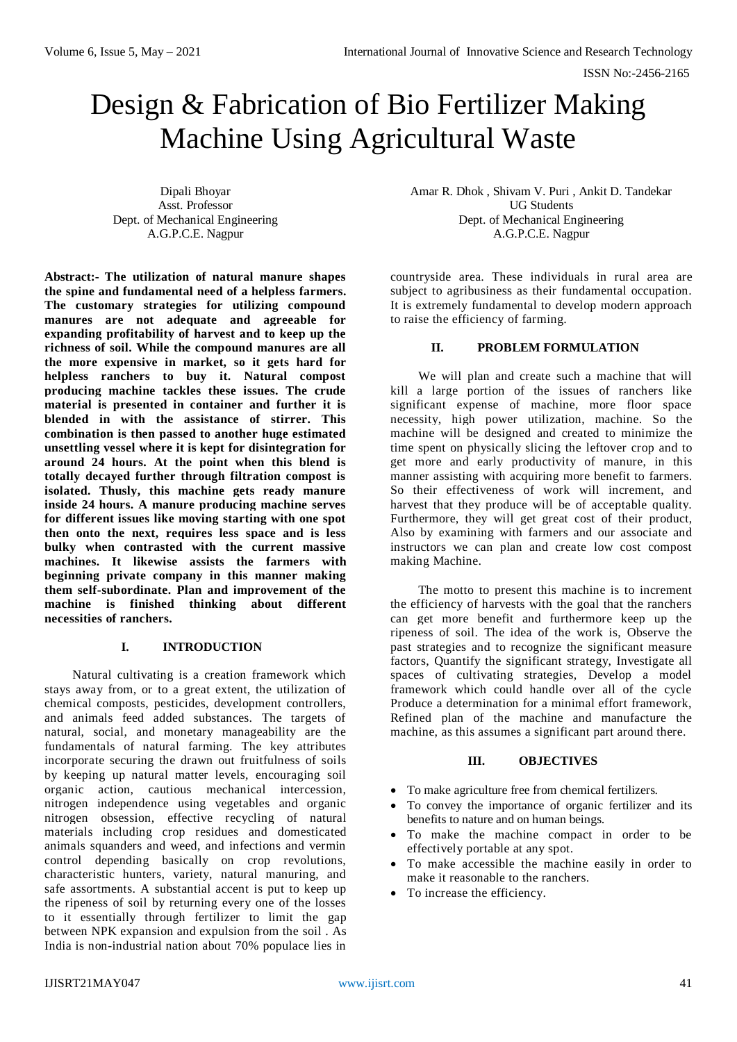ISSN No:-2456-2165

# Design & Fabrication of Bio Fertilizer Making Machine Using Agricultural Waste

Dipali Bhoyar Asst. Professor Dept. of Mechanical Engineering A.G.P.C.E. Nagpur

**Abstract:- The utilization of natural manure shapes the spine and fundamental need of a helpless farmers. The customary strategies for utilizing compound manures are not adequate and agreeable for expanding profitability of harvest and to keep up the richness of soil. While the compound manures are all the more expensive in market, so it gets hard for helpless ranchers to buy it. Natural compost producing machine tackles these issues. The crude material is presented in container and further it is blended in with the assistance of stirrer. This combination is then passed to another huge estimated unsettling vessel where it is kept for disintegration for around 24 hours. At the point when this blend is totally decayed further through filtration compost is isolated. Thusly, this machine gets ready manure inside 24 hours. A manure producing machine serves for different issues like moving starting with one spot then onto the next, requires less space and is less bulky when contrasted with the current massive machines. It likewise assists the farmers with beginning private company in this manner making them self-subordinate. Plan and improvement of the machine is finished thinking about different necessities of ranchers.**

## **I. INTRODUCTION**

Natural cultivating is a creation framework which stays away from, or to a great extent, the utilization of chemical composts, pesticides, development controllers, and animals feed added substances. The targets of natural, social, and monetary manageability are the fundamentals of natural farming. The key attributes incorporate securing the drawn out fruitfulness of soils by keeping up natural matter levels, encouraging soil organic action, cautious mechanical intercession, nitrogen independence using vegetables and organic nitrogen obsession, effective recycling of natural materials including crop residues and domesticated animals squanders and weed, and infections and vermin control depending basically on crop revolutions, characteristic hunters, variety, natural manuring, and safe assortments. A substantial accent is put to keep up the ripeness of soil by returning every one of the losses to it essentially through fertilizer to limit the gap between NPK expansion and expulsion from the soil . As India is non-industrial nation about 70% populace lies in

Amar R. Dhok , Shivam V. Puri , Ankit D. Tandekar UG Students Dept. of Mechanical Engineering A.G.P.C.E. Nagpur

countryside area. These individuals in rural area are subject to agribusiness as their fundamental occupation. It is extremely fundamental to develop modern approach to raise the efficiency of farming.

## **II. PROBLEM FORMULATION**

We will plan and create such a machine that will kill a large portion of the issues of ranchers like significant expense of machine, more floor space necessity, high power utilization, machine. So the machine will be designed and created to minimize the time spent on physically slicing the leftover crop and to get more and early productivity of manure, in this manner assisting with acquiring more benefit to farmers. So their effectiveness of work will increment, and harvest that they produce will be of acceptable quality. Furthermore, they will get great cost of their product, Also by examining with farmers and our associate and instructors we can plan and create low cost compost making Machine.

The motto to present this machine is to increment the efficiency of harvests with the goal that the ranchers can get more benefit and furthermore keep up the ripeness of soil. The idea of the work is, Observe the past strategies and to recognize the significant measure factors, Quantify the significant strategy, Investigate all spaces of cultivating strategies, Develop a model framework which could handle over all of the cycle Produce a determination for a minimal effort framework, Refined plan of the machine and manufacture the machine, as this assumes a significant part around there.

#### **III. OBJECTIVES**

- To make agriculture free from chemical fertilizers.
- To convey the importance of organic fertilizer and its benefits to nature and on human beings.
- To make the machine compact in order to be effectively portable at any spot.
- To make accessible the machine easily in order to make it reasonable to the ranchers.
- To increase the efficiency.